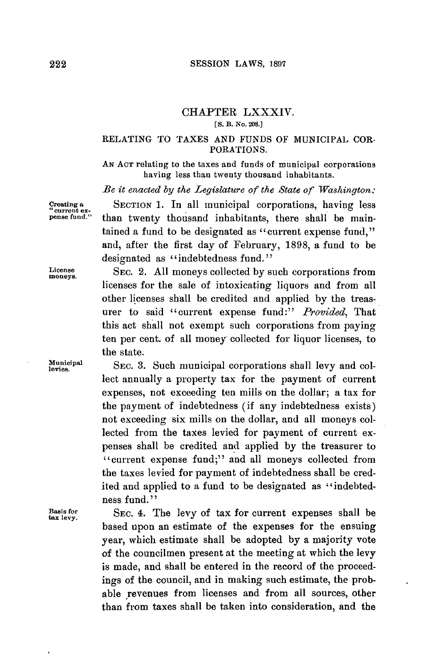# CHAPTER LXXXIV.

**[S. B. No. 208.]**

# RELATING TO TAXES **AND FUNDS** OF **MUNICIPAL** COR-PORATIONS.

**AN ACT** relating to the taxes and funds of municipal corporations having less than twenty thousand inhabitants.

*Be it enacted by the Legislature of the State of Washington:*

**Creating a SECTION 1.** In all municipal corporations, having less **current ex- pense fund."** than twenty thousand inhabitants, there shall be maintained a fund to be designated as "current expense fund," and, after the first day of February, **1898,** a fund to be designated as "indebtedness fund."

> SEC. 2. **All** moneys collected **by** such corporations from licenses for the sale of intoxicating liquors and from all other licenses shall be credited and applied **by** the treasurer to said "current expense fund:" *Provided,* That this act shall not exempt such corporations from paying ten per cent. of all money collected for liquor licenses, to the state.

**EXEC. 7. Such municipal corporations shall levy and col**lect annually a property tax for the payment of current expenses, not exceeding ten mills on the dollar; a tax for the payment of indebtedness (if any indebtedness exists) not exceeding six mills on the dollar, and all moneys collected from the taxes levied for payment of current expenses shall be credited **and** applied **by** the treasurer to "current expense fund;" and all moneys collected from the taxes levied for payment of indebtedness shall be credited and applied to a fund to be designated as "indebtedness fund."

**Basis for SEC. 4.** The levy of tax for current expenses shall be **tax** levy. based upon an estimate of the expenses for the ensuing year, which estimate shall be adopted **by** a majority vote of the councilmen present at the meeting at which the levy is made, and shall be entered in the record of the proceedings of the council, and in making such estimate, the probable revenues from licenses and from all sources, other than from taxes shall be taken into consideration, and the

**License moneys.**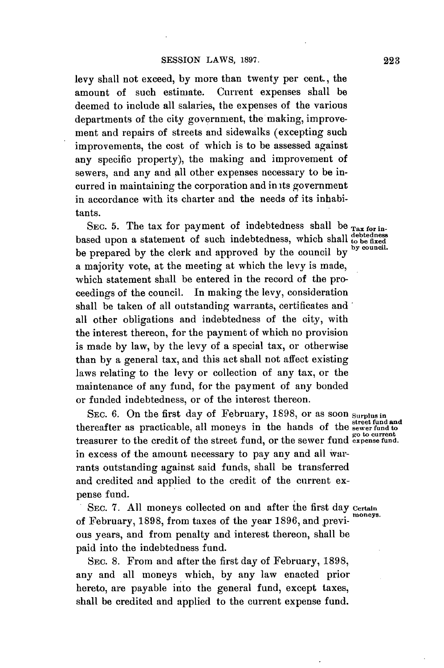levy shall not exceed, **by** more than twenty per cent., the amount of such estimate. Current expenses shall be deemed to include all salaries, the expenses of the various departments of the city government, the making, improvement and repairs of streets and sidewalks (excepting such improvements, the cost of which is to be assessed against any specific property), the making and improvement of sewers, and any and **all** other expenses necessary to be incurred in maintaining the corporation and in its government in accordance with its charter and the needs of its inhabitants.

SEC. 5. The tax for payment of indebtedness shall be  $_{\text{Tax for in-}}$ based upon a statement of such indebtedness, which shall debtedness be prepared **by** the clerk and approved **by** the council **by by council.** a majority vote, at the meeting at which the levy is made, which statement shall be entered in the record of the proceedings of the council. In making the levy, consideration shall be taken of all outstanding warrants, certificates and all other obligations and indebtedness of the city, with the interest thereon, for the payment of which no provision is made **by** law, **by** the levy of a special tax, or otherwise than **by** a general tax, and this act shall not affect existing laws relating to the levy or collection of any tax, or the maintenance of any fund, for the payment of any bonded or funded indebtedness, or of the interest thereon.

SEC. 6. On the first day of February, 1898, or as soon surplus in **street fund and** thereafter as practicable, all moneys in the hands of the **sewer fund to go to current** treasurer to the credit of the street fund, or the sewer fund **expense fund.** in excess of the amount necessary to pay any and all Warrants outstanding against said funds, shall be transferred and credited and applied to the credit of the current expense fund.

SEC. 7. All moneys collected on and after the first day **Certain** of February, **1898,** from taxes of the year **1896,** and previ- **moneys.** ous years, and from penalty and interest thereon, shall be paid into the indebtedness fund.

SEC. **8.** From and after the first day of February, **1898,** any and all moneys which, **by** any law enacted prior hereto, are payable into the general fund, except taxes, shall be credited and applied to the current expense fund.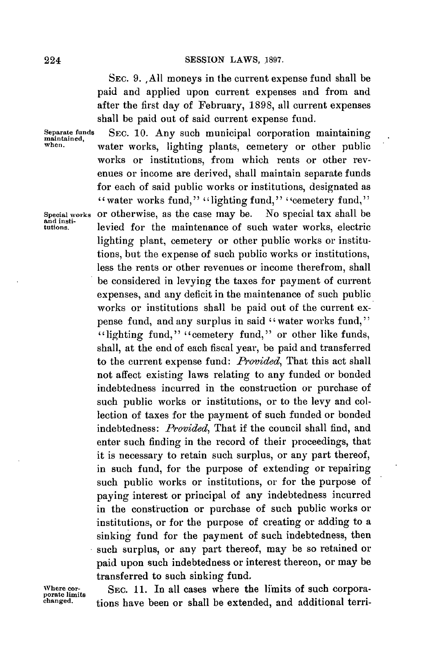#### **SESSION** LAWS, **1897.**

**SEC. 9. ,AlI** moneys in the current expense fund shall be paid and applied upon current expenses and from and after the first day of February, **1898,** all current expenses shall be paid out of said current expense fund.

Separate funds SEC. 10. Any such municipal corporation maintaining<br>maintained,<br>When, water works, lighting plants, cometery or other public water works, lighting plants, cemetery or other public works or institutions, from which rents or other revenues or income are derived, shall maintain separate funds for each of said public works or institutions, designated as " water works fund," "lighting fund," "cemetery fund," **Special works** or otherwise, as the case may be. No special tax shall be and insti- tutions. levied for the maintenance of such water works, electric lighting plant, cemetery or other public works or institutions, but the expense of such public works or institutions, less the rents or other revenues or income therefrom, shall be considered in levying the taxes for payment of current expenses, and any deficit in the maintenance of such public works or institutions shall be paid out of the current expense fund, and any surplus in said "water works fund," "lighting fund," "cemetery fund," or other like funds, shall, at the end of each fiscal year, be paid and transferred to the current expense fund: *Provided,* That this act shall not affect existing laws relating to any funded or bonded indebtedness incurred in the construction or purchase of such public works or institutions, or to the levy and collection of taxes for the payment of such funded or bonded indebtedness: *Provided,* That if the council shall find, and enter such finding in the record of their proceedings, that it is necessary to retain such surplus, or any part thereof, in such fund, for the purpose of extending or repairing such public works or institutions, or for the purpose of paying interest or principal of any indebtedness incurred in the construction or purchase of such public works or institutions, or for the purpose of creating or adding to a sinking fund for the payment of such indebtedness, then such surplus, or any part thereof, may be so retained or paid upon such indebtedness or interest thereon, or may be transferred to such sinking fund.

Where cor-<br>
porate limits of such corpora-<br> **changed.**<br> **changed.**<br> **changed.**<br> **changed.** tions have been or shall be extended, and additional terri-